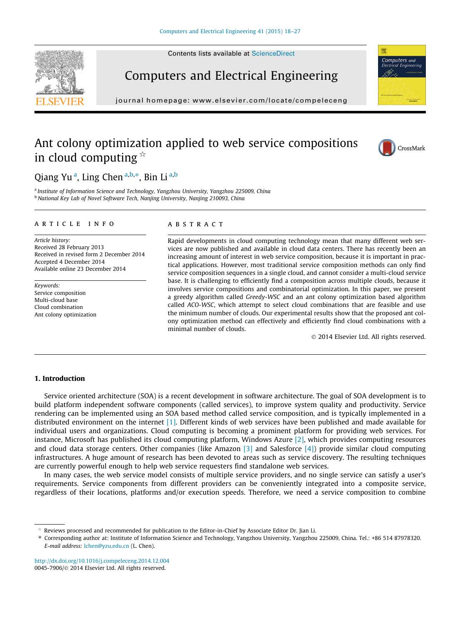Contents lists available at [ScienceDirect](http://www.sciencedirect.com/science/journal/00457906)





journal homepage: [www.elsevier.com/locate/compeleceng](http://www.elsevier.com/locate/compeleceng)

## Ant colony optimization applied to web service compositions in cloud computing  $\dot{\alpha}$



CrossMark

Computers and

### Qiang Yu<sup>a</sup>, Ling Chen<sup>a,b,\*</sup>, Bin Li<sup>a,b</sup>

<sup>a</sup> Institute of Information Science and Technology, Yangzhou University, Yangzhou 225009, China <sup>b</sup> National Key Lab of Novel Software Tech, Nanjing University, Nanjing 210093, China

#### article info

Article history: Received 28 February 2013 Received in revised form 2 December 2014 Accepted 4 December 2014 Available online 23 December 2014

Keywords: Service composition Multi-cloud base Cloud combination Ant colony optimization

#### **ABSTRACT**

Rapid developments in cloud computing technology mean that many different web services are now published and available in cloud data centers. There has recently been an increasing amount of interest in web service composition, because it is important in practical applications. However, most traditional service composition methods can only find service composition sequences in a single cloud, and cannot consider a multi-cloud service base. It is challenging to efficiently find a composition across multiple clouds, because it involves service compositions and combinatorial optimization. In this paper, we present a greedy algorithm called Greedy-WSC and an ant colony optimization based algorithm called ACO-WSC, which attempt to select cloud combinations that are feasible and use the minimum number of clouds. Our experimental results show that the proposed ant colony optimization method can effectively and efficiently find cloud combinations with a minimal number of clouds.

- 2014 Elsevier Ltd. All rights reserved.

#### 1. Introduction

Service oriented architecture (SOA) is a recent development in software architecture. The goal of SOA development is to build platform independent software components (called services), to improve system quality and productivity. Service rendering can be implemented using an SOA based method called service composition, and is typically implemented in a distributed environment on the internet [\[1\]](#page--1-0). Different kinds of web services have been published and made available for individual users and organizations. Cloud computing is becoming a prominent platform for providing web services. For instance, Microsoft has published its cloud computing platform, Windows Azure [\[2\]](#page--1-0), which provides computing resources and cloud data storage centers. Other companies (like Amazon [\[3\]](#page--1-0) and Salesforce [\[4\]\)](#page--1-0) provide similar cloud computing infrastructures. A huge amount of research has been devoted to areas such as service discovery. The resulting techniques are currently powerful enough to help web service requesters find standalone web services.

In many cases, the web service model consists of multiple service providers, and no single service can satisfy a user's requirements. Service components from different providers can be conveniently integrated into a composite service, regardless of their locations, platforms and/or execution speeds. Therefore, we need a service composition to combine

<http://dx.doi.org/10.1016/j.compeleceng.2014.12.004> 0045-7906/© 2014 Elsevier Ltd. All rights reserved.

 $*$  Reviews processed and recommended for publication to the Editor-in-Chief by Associate Editor Dr. Jian Li.

<sup>⇑</sup> Corresponding author at: Institute of Information Science and Technology, Yangzhou University, Yangzhou 225009, China. Tel.: +86 514 87978320. E-mail address: [lchen@yzu.edu.cn](mailto:lchen@yzu.edu.cn) (L. Chen).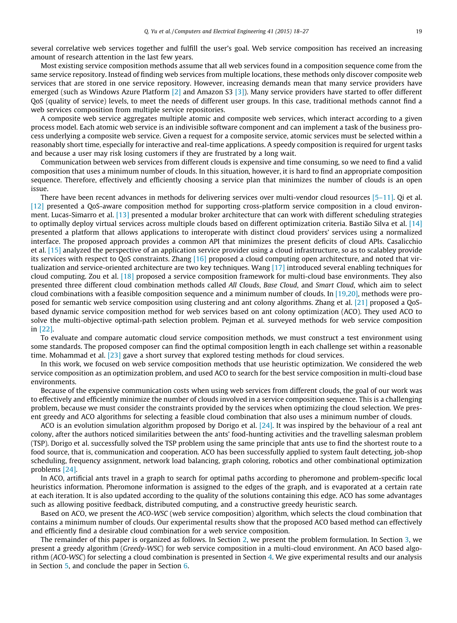several correlative web services together and fulfill the user's goal. Web service composition has received an increasing amount of research attention in the last few years.

Most existing service composition methods assume that all web services found in a composition sequence come from the same service repository. Instead of finding web services from multiple locations, these methods only discover composite web services that are stored in one service repository. However, increasing demands mean that many service providers have emerged (such as Windows Azure Platform [\[2\]](#page--1-0) and Amazon S3 [\[3\]](#page--1-0)). Many service providers have started to offer different QoS (quality of service) levels, to meet the needs of different user groups. In this case, traditional methods cannot find a web services composition from multiple service repositories.

A composite web service aggregates multiple atomic and composite web services, which interact according to a given process model. Each atomic web service is an indivisible software component and can implement a task of the business process underlying a composite web service. Given a request for a composite service, atomic services must be selected within a reasonably short time, especially for interactive and real-time applications. A speedy composition is required for urgent tasks and because a user may risk losing customers if they are frustrated by a long wait.

Communication between web services from different clouds is expensive and time consuming, so we need to find a valid composition that uses a minimum number of clouds. In this situation, however, it is hard to find an appropriate composition sequence. Therefore, effectively and efficiently choosing a service plan that minimizes the number of clouds is an open issue.

There have been recent advances in methods for delivering services over multi-vendor cloud resources [\[5–11\].](#page--1-0) Qi et al. [\[12\]](#page--1-0) presented a QoS-aware composition method for supporting cross-platform service composition in a cloud environment. Lucas-Simarro et al. [\[13\]](#page--1-0) presented a modular broker architecture that can work with different scheduling strategies to optimally deploy virtual services across multiple clouds based on different optimization criteria. Bastião Silva et al. [\[14\]](#page--1-0) presented a platform that allows applications to interoperate with distinct cloud providers' services using a normalized interface. The proposed approach provides a common API that minimizes the present deficits of cloud APIs. Casalicchio et al. [\[15\]](#page--1-0) analyzed the perspective of an application service provider using a cloud infrastructure, so as to scalabley provide its services with respect to QoS constraints. Zhang [\[16\]](#page--1-0) proposed a cloud computing open architecture, and noted that virtualization and service-oriented architecture are two key techniques. Wang [\[17\]](#page--1-0) introduced several enabling techniques for cloud computing. Zou et al. [\[18\]](#page--1-0) proposed a service composition framework for multi-cloud base environments. They also presented three different cloud combination methods called All Clouds, Base Cloud, and Smart Cloud, which aim to select cloud combinations with a feasible composition sequence and a minimum number of clouds. In [\[19,20\],](#page--1-0) methods were proposed for semantic web service composition using clustering and ant colony algorithms. Zhang et al. [\[21\]](#page--1-0) proposed a QoSbased dynamic service composition method for web services based on ant colony optimization (ACO). They used ACO to solve the multi-objective optimal-path selection problem. Pejman et al. surveyed methods for web service composition in [\[22\].](#page--1-0)

To evaluate and compare automatic cloud service composition methods, we must construct a test environment using some standards. The proposed composer can find the optimal composition length in each challenge set within a reasonable time. Mohammad et al. [\[23\]](#page--1-0) gave a short survey that explored testing methods for cloud services.

In this work, we focused on web service composition methods that use heuristic optimization. We considered the web service composition as an optimization problem, and used ACO to search for the best service composition in multi-cloud base environments.

Because of the expensive communication costs when using web services from different clouds, the goal of our work was to effectively and efficiently minimize the number of clouds involved in a service composition sequence. This is a challenging problem, because we must consider the constraints provided by the services when optimizing the cloud selection. We present greedy and ACO algorithms for selecting a feasible cloud combination that also uses a minimum number of clouds.

ACO is an evolution simulation algorithm proposed by Dorigo et al.  $[24]$ . It was inspired by the behaviour of a real ant colony, after the authors noticed similarities between the ants' food-hunting activities and the travelling salesman problem (TSP). Dorigo et al. successfully solved the TSP problem using the same principle that ants use to find the shortest route to a food source, that is, communication and cooperation. ACO has been successfully applied to system fault detecting, job-shop scheduling, frequency assignment, network load balancing, graph coloring, robotics and other combinational optimization problems [\[24\]](#page--1-0).

In ACO, artificial ants travel in a graph to search for optimal paths according to pheromone and problem-specific local heuristics information. Pheromone information is assigned to the edges of the graph, and is evaporated at a certain rate at each iteration. It is also updated according to the quality of the solutions containing this edge. ACO has some advantages such as allowing positive feedback, distributed computing, and a constructive greedy heuristic search.

Based on ACO, we present the ACO-WSC (web service composition) algorithm, which selects the cloud combination that contains a minimum number of clouds. Our experimental results show that the proposed ACO based method can effectively and efficiently find a desirable cloud combination for a web service composition.

The remainder of this paper is organized as follows. In Section [2](#page--1-0), we present the problem formulation. In Section [3](#page--1-0), we present a greedy algorithm (Greedy-WSC) for web service composition in a multi-cloud environment. An ACO based algorithm (ACO-WSC) for selecting a cloud combination is presented in Section [4](#page--1-0). We give experimental results and our analysis in Section [5,](#page--1-0) and conclude the paper in Section [6.](#page--1-0)